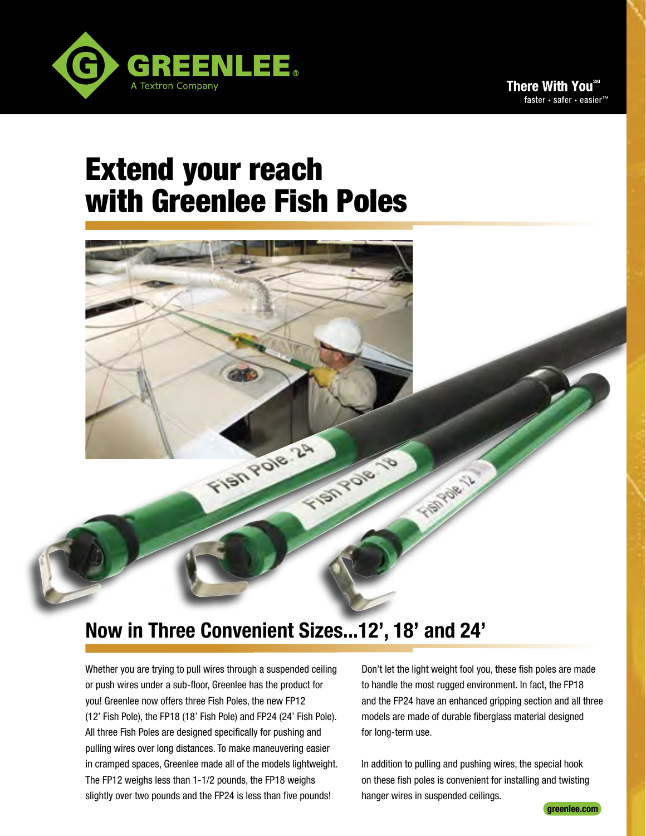

# Extend your reach with Greenlee Fish Poles

# **Now in Three Convenient Sizes...12', 18' and 24'**

Fish Pole 24

**SIGHTER** 

Whether you are trying to pull wires through a suspended ceiling or push wires under a sub-floor, Greenlee has the product for you! Greenlee now offers three Fish Poles, the new FP12 (12' Fish Pole), the FP18 (18' Fish Pole) and FP24 (24' Fish Pole). All three Fish Poles are designed specifically for pushing and pulling wires over long distances. To make maneuvering easier in cramped spaces, Greenlee made all of the models lightweight. The FP12 weighs less than 1-1/2 pounds, the FP18 weighs slightly over two pounds and the FP24 is less than five pounds!

Don't let the light weight fool you, these fish poles are made to handle the most rugged environment. In fact, the FP18 and the FP24 have an enhanced gripping section and all three models are made of durable fiberglass material designed for long-term use.

TIBITOR 13

In addition to pulling and pushing wires, the special hook on these fish poles is convenient for installing and twisting hanger wires in suspended ceilings.